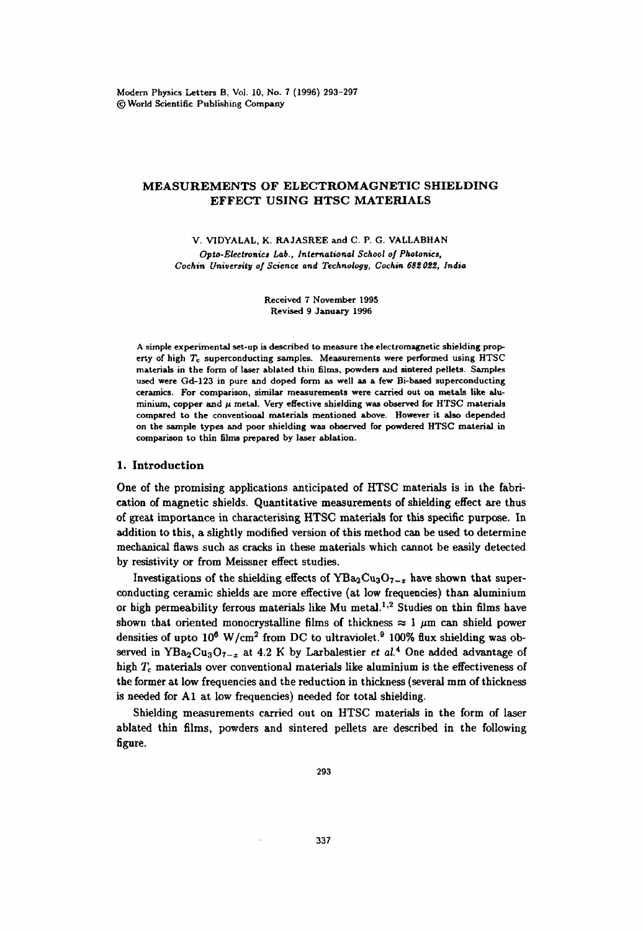# MEASUREMENTS OF ELECTROMAGNETIC SHIELDING EFFECT USING HTSC MATERIALS

V. VlDYALAL, K. RAJASREE and C. P. G. VALLABHAN *Opto-Electronic6 Lab., International School 0/ Photonics, Cochin University 0/* Science *and Technology, Cochin 682022, India* 

> Received 7 November 1995 Revised 9 January 1996

A simple experimental set-up is described to measure the electromagnetic shielding property of high  $T_c$  superconducting samples. Measurements were performed using HTSC materials in the form of laser ablated thin films, powders and sintered pellets. Samples used were Gd-123 in pure and doped form as well as a few Bi-based superconducting ceramics. For comparison, similar measurements were carried out on metals like aluminium, copper and  $\mu$  metal. Very effective shielding was observed for HTSC materials compared to the conventional materials mentioned above. However it also depended on the sample types and poor shielding was observed for powdered HTSC material in comparison to thin films prepared by laser ablation.

### 1. Introduction

One of the promising applications anticipated of HTSC materials is in the fabrication of magnetic shields. Quantitative measurements of shielding effect are thus of great importance in characterising HTSC materials for this specific purpose. In addition to this, a slightly modified version of this method can be used to determine mechanical flaws such as cracks in these materials which cannot be easily detected by resistivity or from Meissner effect studies.

Investigations of the shielding effects of  $YBa_2Cu_3O_{7-z}$  have shown that superconducting ceramic shields are more effective (at low frequencies) than aluminium or high permeability ferrous materials like Mu metal.<sup>1,2</sup> Studies on thin films have shown that oriented monocrystalline films of thickness  $\approx 1 \mu m$  can shield power densities of upto  $10^6$  W/cm<sup>2</sup> from DC to ultraviolet.<sup>9</sup> 100% flux shielding was observed in YBa<sub>2</sub>Cu<sub>3</sub>O<sub>7-z</sub> at 4.2 K by Larbalestier *et al.*<sup>4</sup> One added advantage of high *Tc* materials over conventional materials like aluminium is the effectiveness of the former at low frequencies and the reduction in thickness (several mm of thickness is needed for Al at low frequencies) needed for total shielding.

Shielding measurements carried out on HTSC materials in the form of laser ablated thin films, powders and sintered pellets are described in the following figure.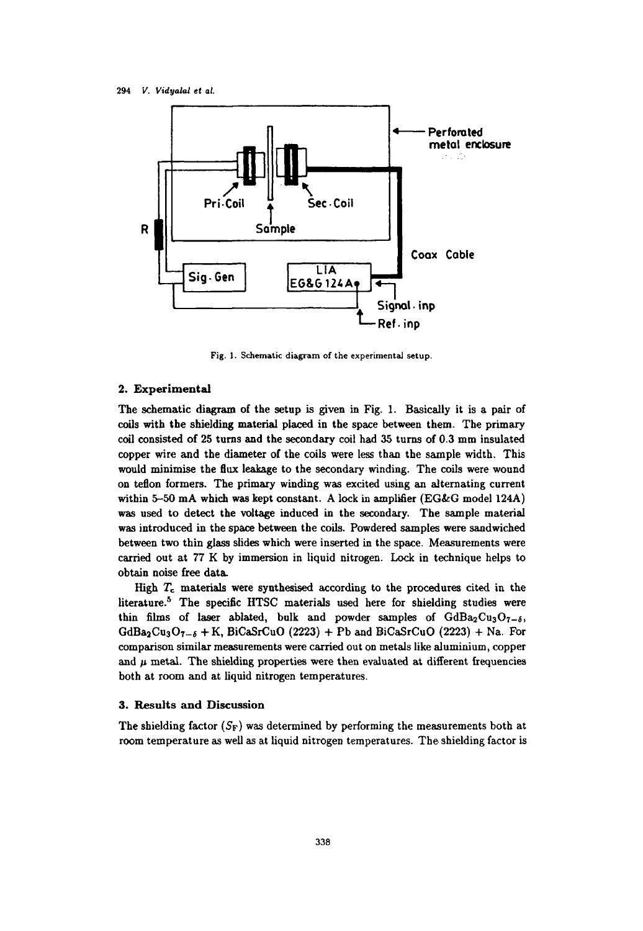

Fig. 1. Schematic diagram of the experimental setup.

### 2. Experimental

The schematic diagram of the setup is given in Fig. 1. Basically it is a pair of coils with the shielding material placed in the space between them. The primary coil consisted of 25 turns and the secondary coil had 35 turns of 0.3 mm insulated copper wire and the diameter of the coils were less than the sample width. This would minimise the flux leakage to the secondary winding. The coils were wound on teflon formers. The primary winding was excited using an alternating current within 5-50 mA which was kept constant. A lock in amplifier (EG&G model 124A) was used to detect the voltage induced in the secondary. The sample material was introduced in the space between the coils. Powdered samples were sandwiched between two thin glass slides which were inserted in the space. Measurements were carried out at 77 K by immersion in liquid nitrogen. Lock in technique helps to obtain noise free data.

High *Tc* materials were synthesised according to the procedures cited in the literature.<sup>5</sup> The specific HTSC materials used here for shielding studies were thin films of laser ablated, bulk and powder samples of  $GdBa_2Cu_3O_{7-\delta}$ ,  $GdBa<sub>2</sub>Cu<sub>3</sub>O<sub>7-6</sub> + K$ , BiCaSrCuO (2223) + Pb and BiCaSrCuO (2223) + Na. For comparison similar measurements were carried out on metals like aluminium, copper and  $\mu$  metal. The shielding properties were then evaluated at different frequencies both at room and at liquid nitrogen temperatures.

## 3. Results and Discussion

The shielding factor  $(S_F)$  was determined by performing the measurements both at room temperature as well as at liquid nitrogen temperatures. The shielding factor is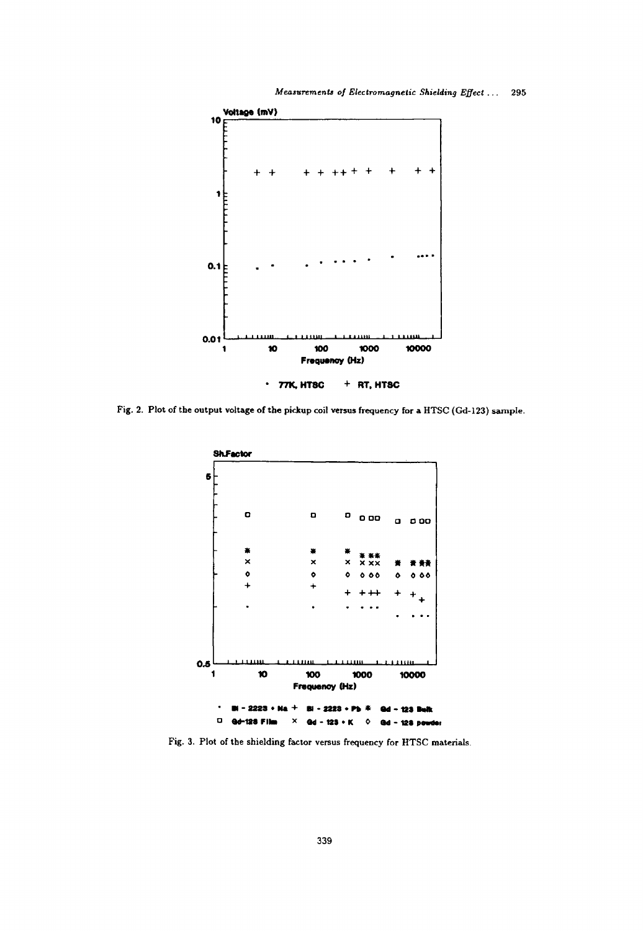

Fig. 2. Plot of the output voltage of the pickup coil versus frequency for a HTSC (Gd-123) sample.



Fig. 3. Plot of the shielding factor versus frequency for HTSC materials.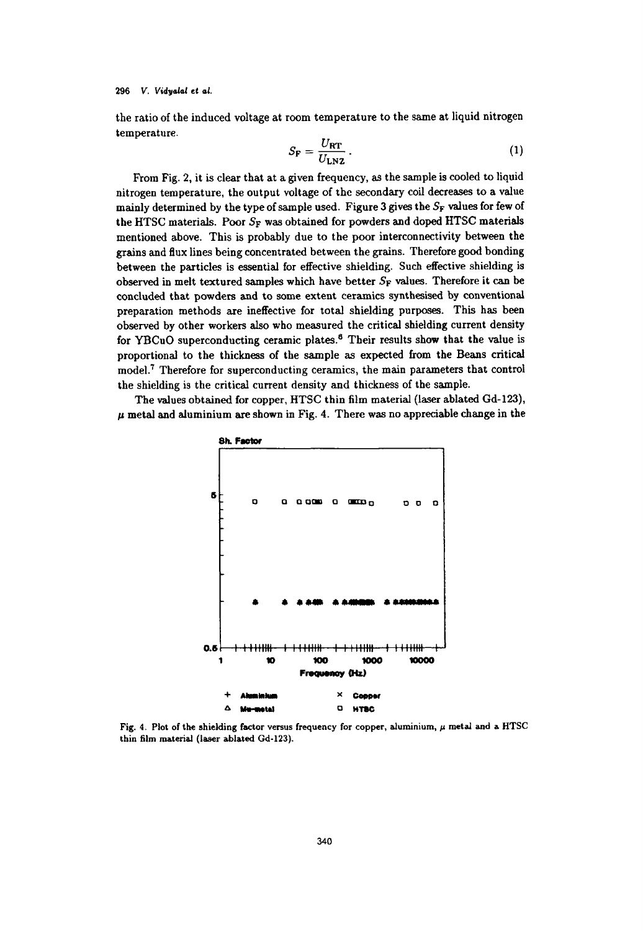296 V. Vidyalal et al.

the ratio of the induced voltage at room temperature to the same at liquid nitrogen temperature.

$$
S_{\rm F} = \frac{U_{\rm RT}}{U_{\rm LN2}}\,. \tag{1}
$$

From Fig. 2, it is clear that at a given frequency, as the sample is cooled to liquid nitrogen temperature, the output voltage of the secondary coil decreases to a value mainly determined by the type of sample used. Figure 3 gives the  $S_F$  values for few of the HTSC materials. Poor  $S_F$  was obtained for powders and doped HTSC materials mentioned above. This is probably due to the poor interconnectivity between the grains and fiux lines being concentrated between the grains. Therefore good bonding between the particles is essential for effective shielding. Such effective shielding is observed in melt textured samples which have better  $S_F$  values. Therefore it can be concluded that powders and to some extent ceramics synthesised by conventional preparation methods are ineffective for total shielding purposes. This has been observed by other workers also who measured the critical shielding current density for YBCuO superconducting ceramic plates.<sup>6</sup> Their results show that the value is proportional to the thickness of the sample as expected from the Beans critical  $model$ .<sup>7</sup> Therefore for superconducting ceramics, the main parameters that control the shielding is the critical current density and thickness of the sample.

The values obtained for copper, HTSC thin film material (laser ablated Gd-l23),  $\mu$  metal and aluminium are shown in Fig. 4. There was no appreciable change in the



Fig. 4. Plot of the shielding factor versus frequency for copper, aluminium,  $\mu$  metal and a HTSC thin film material (laser ablated Gd·123).